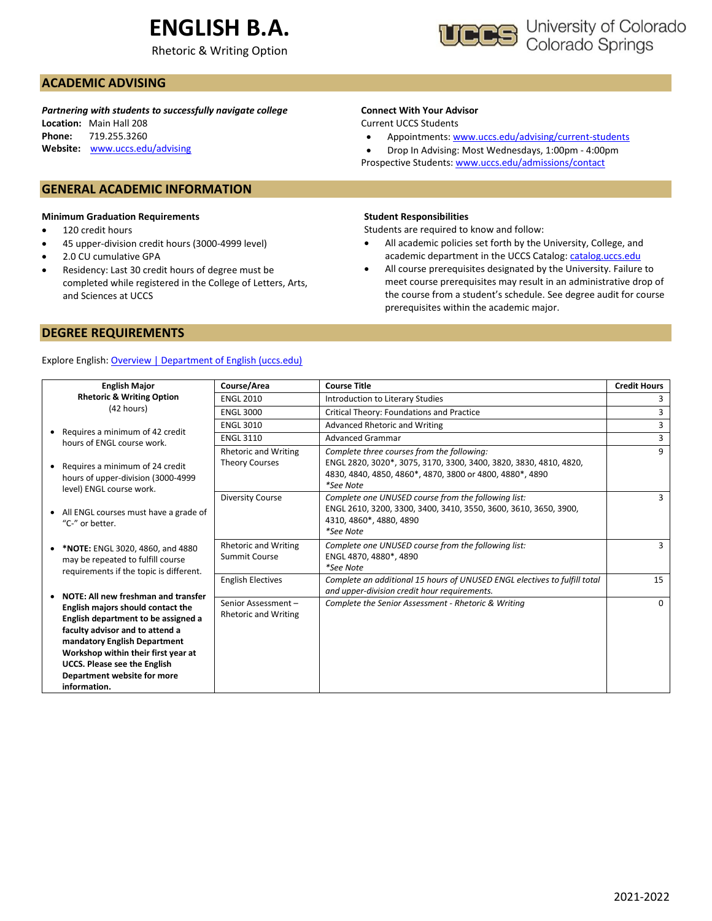# **ENGLISH B.A.**

Rhetoric & Writing Option



## **ACADEMIC ADVISING**

*Partnering with students to successfully navigate college* **Location:** Main Hall 208 **Phone:** 719.255.3260 **Website:** [www.uccs.edu/advising](http://www.uccs.edu/advising)

### **GENERAL ACADEMIC INFORMATION**

#### **Minimum Graduation Requirements**

- 120 credit hours
- 45 upper-division credit hours (3000-4999 level)
- 2.0 CU cumulative GPA
- Residency: Last 30 credit hours of degree must be completed while registered in the College of Letters, Arts, and Sciences at UCCS

## **Connect With Your Advisor**

Current UCCS Students

• Appointments: [www.uccs.edu/advising/current-students](http://www.uccs.edu/advising/current-students)

• Drop In Advising: Most Wednesdays, 1:00pm - 4:00pm Prospective Students: [www.uccs.edu/admissions/contact](http://www.uccs.edu/admissions/contact)

#### **Student Responsibilities**

Students are required to know and follow:

- All academic policies set forth by the University, College, and academic department in the UCCS Catalog[: catalog.uccs.edu](file://///columbia/dept/Success/Advising%20Guides/197%20Advising%20Guides/catalog.uccs.edu)
- All course prerequisites designated by the University. Failure to meet course prerequisites may result in an administrative drop of the course from a student's schedule. See degree audit for course prerequisites within the academic major.

## **DEGREE REQUIREMENTS**

### Explore English: [Overview | Department of English \(uccs.edu\)](https://english.uccs.edu/overview)

| <b>English Major</b>                                                                                                                                                                                                                                                     | Course/Area                                       | <b>Course Title</b>                                                                                                                                             | <b>Credit Hours</b> |
|--------------------------------------------------------------------------------------------------------------------------------------------------------------------------------------------------------------------------------------------------------------------------|---------------------------------------------------|-----------------------------------------------------------------------------------------------------------------------------------------------------------------|---------------------|
| <b>Rhetoric &amp; Writing Option</b>                                                                                                                                                                                                                                     | <b>ENGL 2010</b>                                  | Introduction to Literary Studies                                                                                                                                |                     |
| (42 hours)                                                                                                                                                                                                                                                               | <b>ENGL 3000</b>                                  | Critical Theory: Foundations and Practice                                                                                                                       | 3                   |
|                                                                                                                                                                                                                                                                          | <b>ENGL 3010</b>                                  | Advanced Rhetoric and Writing                                                                                                                                   | 3                   |
| Requires a minimum of 42 credit<br>hours of ENGL course work.                                                                                                                                                                                                            | <b>ENGL 3110</b>                                  | <b>Advanced Grammar</b>                                                                                                                                         | 3                   |
|                                                                                                                                                                                                                                                                          | <b>Rhetoric and Writing</b>                       | Complete three courses from the following:                                                                                                                      | $\mathbf{q}$        |
| Requires a minimum of 24 credit<br>hours of upper-division (3000-4999<br>level) ENGL course work.                                                                                                                                                                        | <b>Theory Courses</b>                             | ENGL 2820, 3020*, 3075, 3170, 3300, 3400, 3820, 3830, 4810, 4820,<br>4830, 4840, 4850, 4860*, 4870, 3800 or 4800, 4880*, 4890<br>*See Note                      |                     |
| • All ENGL courses must have a grade of<br>"C-" or better.                                                                                                                                                                                                               | <b>Diversity Course</b>                           | Complete one UNUSED course from the following list:<br>ENGL 2610, 3200, 3300, 3400, 3410, 3550, 3600, 3610, 3650, 3900,<br>4310, 4860*, 4880, 4890<br>*See Note | 3                   |
| *NOTE: ENGL 3020, 4860, and 4880<br>may be repeated to fulfill course<br>requirements if the topic is different.                                                                                                                                                         | <b>Rhetoric and Writing</b><br>Summit Course      | Complete one UNUSED course from the following list:<br>ENGL 4870, 4880*, 4890<br>*See Note                                                                      | 3                   |
| NOTE: All new freshman and transfer                                                                                                                                                                                                                                      | <b>English Electives</b>                          | Complete an additional 15 hours of UNUSED ENGL electives to fulfill total<br>and upper-division credit hour requirements.                                       | 15                  |
| English majors should contact the<br>English department to be assigned a<br>faculty advisor and to attend a<br>mandatory English Department<br>Workshop within their first year at<br><b>UCCS. Please see the English</b><br>Department website for more<br>information. | Senior Assessment-<br><b>Rhetoric and Writing</b> | Complete the Senior Assessment - Rhetoric & Writing                                                                                                             | $\Omega$            |